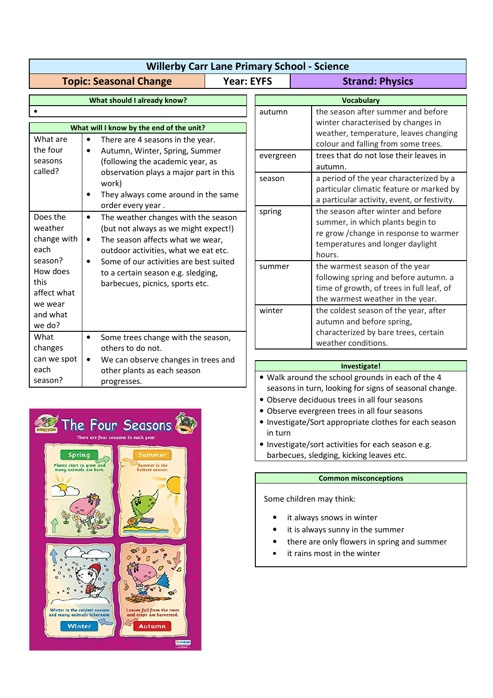| <b>Willerby Carr Lane Primary School - Science</b>                |                                                                                                                                                                                                                                                                                                                                        |                   |                                                                                                                                                                                                                       |                                                                                                                                                                                                                                                                                                      |  |
|-------------------------------------------------------------------|----------------------------------------------------------------------------------------------------------------------------------------------------------------------------------------------------------------------------------------------------------------------------------------------------------------------------------------|-------------------|-----------------------------------------------------------------------------------------------------------------------------------------------------------------------------------------------------------------------|------------------------------------------------------------------------------------------------------------------------------------------------------------------------------------------------------------------------------------------------------------------------------------------------------|--|
| <b>Topic: Seasonal Change</b>                                     |                                                                                                                                                                                                                                                                                                                                        | <b>Year: EYFS</b> |                                                                                                                                                                                                                       | <b>Strand: Physics</b>                                                                                                                                                                                                                                                                               |  |
| What should I already know?                                       |                                                                                                                                                                                                                                                                                                                                        |                   | <b>Vocabulary</b>                                                                                                                                                                                                     |                                                                                                                                                                                                                                                                                                      |  |
| What are<br>the four<br>seasons<br>called?                        | What will I know by the end of the unit?<br>There are 4 seasons in the year.<br>$\bullet$<br>Autumn, Winter, Spring, Summer<br>$\bullet$<br>(following the academic year, as<br>observation plays a major part in this<br>work)<br>They always come around in the same<br>$\bullet$                                                    |                   | autumn<br>evergreen<br>season                                                                                                                                                                                         | the season after summer and before<br>winter characterised by changes in<br>weather, temperature, leaves changing<br>colour and falling from some trees.<br>trees that do not lose their leaves in<br>autumn.<br>a period of the year characterized by a<br>particular climatic feature or marked by |  |
| Does the<br>weather<br>change with<br>each                        | order every year.<br>The weather changes with the season<br>$\bullet$<br>(but not always as we might expect!)<br>The season affects what we wear,<br>$\bullet$<br>outdoor activities, what we eat etc.<br>Some of our activities are best suited<br>$\bullet$<br>to a certain season e.g. sledging,<br>barbecues, picnics, sports etc. |                   | spring                                                                                                                                                                                                                | a particular activity, event, or festivity.<br>the season after winter and before<br>summer, in which plants begin to<br>re grow / change in response to warmer<br>temperatures and longer daylight<br>hours.                                                                                        |  |
| season?<br>How does<br>this<br>affect what<br>we wear<br>and what |                                                                                                                                                                                                                                                                                                                                        |                   | the warmest season of the year<br>summer<br>following spring and before autumn. a<br>time of growth, of trees in full leaf, of<br>the warmest weather in the year.<br>the coldest season of the year, after<br>winter |                                                                                                                                                                                                                                                                                                      |  |
| we do?<br>What<br>changes<br>can we spot<br>each<br>season?       | $\bullet$<br>Some trees change with the season,<br>others to do not.<br>We can observe changes in trees and<br>$\bullet$<br>other plants as each season<br>progresses.                                                                                                                                                                 |                   |                                                                                                                                                                                                                       | autumn and before spring,<br>characterized by bare trees, certain<br>weather conditions.<br>Investigate!<br>. Walk around the school grounds in each of the 4                                                                                                                                        |  |
|                                                                   |                                                                                                                                                                                                                                                                                                                                        |                   | seasons in turn, looking for signs of seasonal change.<br>• Observe deciduous trees in all four seasons                                                                                                               |                                                                                                                                                                                                                                                                                                      |  |



• Investigate/Sort appropriate clothes for each season in turn

• Investigate/sort activities for each season e.g. barbecues, sledging, kicking leaves etc.

• Observe evergreen trees in all four seasons

## **Common misconceptions**

Some children may think:

- it always snows in winter
- it is always sunny in the summer
- there are only flowers in spring and summer
- it rains most in the winter